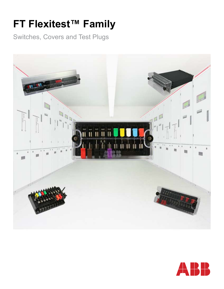# **FT Flexitest™ Family**

Switches, Covers and Test Plugs



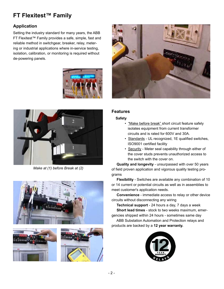# **FT Flexitest™ Family**

# **Application**

Setting the industry standard for many years, the ABB FT Flexitest™ Family provides a safe, simple, fast and reliable method in switchgear, breaker, relay, metering or industrial applications where in-service testing, isolation, calibration, or monitoring is required without de-powering panels.





*Make at (1) before Break at (2)*







#### **Features**

#### **Safety**

- "Make before break" short circuit feature safely isolates equipment from current transformer circuits and is rated for 600V and 30A.
- Standards UL recognized, 1E qualified switches, ISO9001 certified facility
- Security Meter seal capability through either of the cover studs prevents unauthorized access to the switch with the cover on.

 **Quality and longevity** - unsurpassed with over 50 years of field proven application and vigorous quality testing programs

 **Flexibility** - Switches are available any combination of 10 or 14 current or potential circuits as well as in assemblies to meet customer's application needs.

 **Convenience** - immediate access to relay or other device circuits without disconnecting any wiring

 **Technical support** - 24 hours a day, 7 days a week **Short lead times** - stock to two weeks maximum, emergencies shipped within 24 hours - sometimes same day

 ABB Substation Automation and Protection relays and products are backed by a **12 year warranty.**

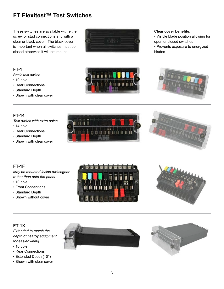# **FT Flexitest™ Test Switches**

These switches are available with either screw or stud connections and with a clear or black cover. The black cover is important when all switches must be closed otherwise it will not mount.



#### **Clear cover benefits:**

- Visible blade position allowing for open or closed switches
- Prevents exposure to energized blades

### **FT-1**

*Basic test switch*

- 10 pole
- Rear Connections
- Standard Depth
- Shown with clear cover





### **FT-14**

*Test switch with extra poles*

- 14 pole
- Rear Connections
- Standard Depth
- Shown with clear cover





# **FT-1F**

*May be mounted inside switchgear rather than onto the panel*

- 10 pole
- Front Connections
- Standard Depth
- Shown without cover





# **FT-1X**

*Extended to match the depth of nearby equipment for easier wiring*

- 10 pole
- Rear Connections
- Extended Depth (10'')
- Shown with clear cover

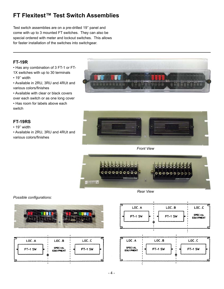# **FT Flexitest™ Test Switch Assemblies**

Test switch assemblies are on a pre-drilled 19'' panel and come with up to 3 mounted FT switches. They can also be special ordered with meter and lockout switches. This allows for faster installation of the switches into switchgear.

#### **FT-19R**

• Has any combination of 3 FT-1 or FT-

1X switches with up to 30 terminals

- 19'' width
- Available in 2RU, 3RU and 4RUt and various colors/finishes
- Available with clear or black covers over each switch or as one long cover

• Has room for labels above each switch

# **FT-19RS**

• 19'' width

• Available in 2RU, 3RU and 4RUt and various colors/finishes

*Possible configurations:*





*Front View*



*Rear View*



| LOC.A     | LOC.B                              | LOC.C     |  |  |  |
|-----------|------------------------------------|-----------|--|--|--|
| $FT-1$ SW | <b>SPECIAL</b><br><b>EQUIPMENT</b> | $FT-1$ SW |  |  |  |
|           | ۰.                                 |           |  |  |  |



- 4 -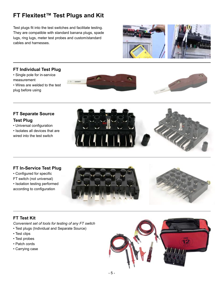# **FT Flexitest™ Test Plugs and Kit**

Test plugs fit into the test switches and facilitate testing. They are compatible with standard banana plugs, spade lugs, ring lugs, meter test probes and custom/standard cables and harnesses.



#### **FT Individual Test Plug**

- Single pole for in-service measurement
- Wires are welded to the test plug before using





# **FT Separate Source**

# **Test Plug**

- Universal configuration
- Isolates all devices that are wired into the test switch



# **FT In-Service Test Plug**

• Configured for specific FT switch (not universal) • Isolation testing performed according to configuration





# **FT Test Kit**

*Convenient set of tools for testing of any FT switch*

- Test plugs (Individual and Separate Source)
- Test clips
- Test probes
- Patch cords
- Carrying case